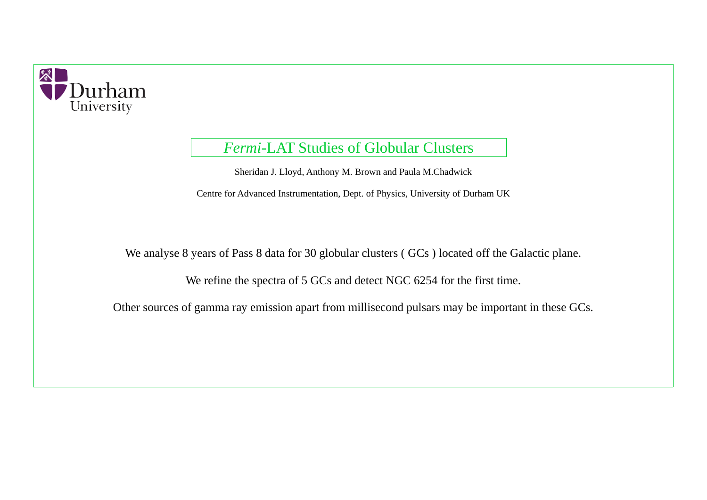Sheridan J. Lloyd, Anthony M. Brown and Paula M.Chadwick

Centre for Advanced Instrumentation, Dept. of Physics, University of Durham UK

We analyse 8 years of Pass 8 data for 30 globular clusters (GCs) located off the Galactic plane.

We refine the spectra of 5 GCs and detect NGC 6254 for the first time.

Other sources of gamma ray emission apart from millisecond pulsars may be important in these GCs.



# *Fermi*-LAT Studies of Globular Clusters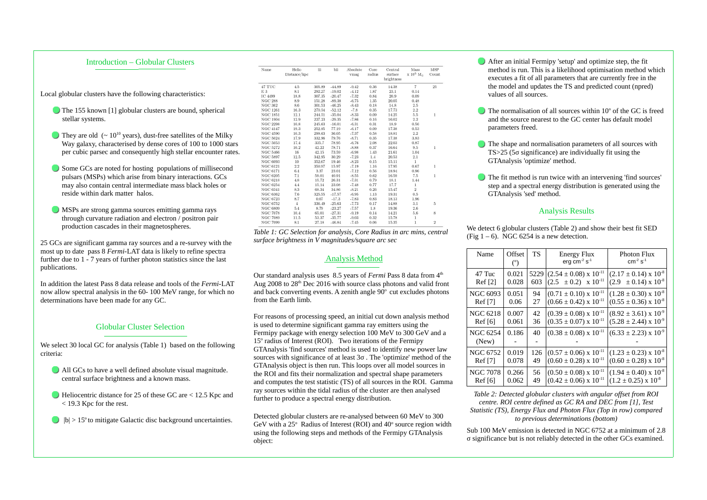## Introduction – Globular Clusters

#### Analysis Method

Our standard analysis uses 8.5 years of *Fermi* Pass 8 data from 4<sup>th</sup> Aug 2008 to  $28<sup>th</sup>$  Dec 2016 with source class photons and valid front and back converting events. A zenith angle  $90^{\circ}$  cut excludes photons from the Earth limb.

For reasons of processing speed, an initial cut down analysis method is used to determine significant gamma ray emitters using the Fermipy package with energy selection 100 MeV to 300 GeV and a 15° radius of Interest (ROI). Two iterations of the Fermipy GTAnalysis 'find sources' method is used to identify new power law sources with significance of at least 3σ . The 'optimize' method of the GTAnalysis object is then run. This loops over all model sources in the ROI and fits their normalization and spectral shape parameters and computes the test statistic (TS) of all sources in the ROI. Gamma ray sources within the tidal radius of the cluster are then analysed further to produce a spectral energy distribution.

The normalisation of all sources within 10° of the GC is freed and the source nearest to the GC center has default model

**The shape and normalisation parameters of all sources with** TS>25 (5σ significance) are individually fit using the

The fit method is run twice with an intervening 'find sources' step and a spectral energy distribution is generated using the

Detected globular clusters are re-analysed between 60 MeV to 300 GeV with a  $25^\circ$  Radius of Interest (ROI) and  $40^\circ$  source region width using the following steps and methods of the Fermipy GTAnalysis object:

After an initial Fermipy 'setup' and optimize step, the fit method is run. This is a likelihood optimisation method which executes a fit of all parameters that are currently free in the the model and updates the TS and predicted count (npred)

- values of all sources.
- parameters freed.
- GTAnalysis 'optimize' method.
- GTAnalysis 'sed' method.

(Fig  $1 - 6$ ). NGC 6254 is a new detection.

## Analysis Results

We detect 6 globular clusters (Table 2) and show their best fit SED

- All GCs to have a well defined absolute visual magnitude. central surface brightness and a known mass.
- Heliocentric distance for 25 of these GC are < 12.5 Kpc and < 19.3 Kpc for the rest.
- $\Box$   $|b| > 15^{\circ}$  to mitigate Galactic disc background uncertainties.

| Name            | Helio<br>Distance/kpc | lii    | bii      | Absolute<br>vmag | Core<br>radius | Central<br>surface<br>brightness | Mass<br>$\times 10^5$ M <sub>o</sub> | <b>MSP</b><br>Count |
|-----------------|-----------------------|--------|----------|------------------|----------------|----------------------------------|--------------------------------------|---------------------|
| 47 TUC          | 4.5                   | 305.89 | $-44.89$ | $-9.42$          | 0.36           | 14.38                            | 7                                    | 25                  |
| E <sub>3</sub>  | 8.1                   | 292.27 | $-19.02$ | $-4.12$          | 1.87           | 23.1                             | 0.14                                 |                     |
| IC 4499         | 18.8                  | 307.35 | $-20.47$ | $-7.32$          | 0.84           | 20.9                             | 0.09                                 |                     |
| <b>NGC 288</b>  | 8.9                   | 151.28 | $-89.38$ | $-6.75$          | 1.35           | 20.05                            | 0.48                                 |                     |
| <b>NGC 362</b>  | 8.6                   | 301.53 | $-46.25$ | $-8.43$          | 0.18           | 14.8                             | 2.5                                  |                     |
| <b>NGC 1261</b> | 16.3                  | 270.54 | $-52.12$ | $-7.8$           | 0.35           | 17.73                            | 2.2                                  |                     |
| <b>NGC 1851</b> | 12.1                  | 244.51 | $-35.04$ | $-8.33$          | 0.09           | 14.25                            | 5.5                                  | $\mathbf 1$         |
| <b>NGC 1904</b> | 12.9                  | 227.23 | $-29.35$ | $-7.86$          | 0.16           | 16.02                            | 2.2                                  |                     |
| <b>NGC 2298</b> | 10.8                  | 245.63 | $-16.01$ | $-6.31$          | 0.31           | 18.9                             | 0.56                                 |                     |
| <b>NGC 4147</b> | 19.3                  | 252.85 | 77.19    | $-6.17$          | 0.09           | 17.38                            | 0.53                                 |                     |
| <b>NGC 4590</b> | 10.3                  | 299.63 | 36.05    | $-7.37$          | 0.58           | 18.81                            | 2.2                                  |                     |
| <b>NGC 5024</b> | 17.9                  | 332.96 | 79.76    | $-8.71$          | 0.35           | 17.38                            | 3.83                                 |                     |
| <b>NGC 5053</b> | 17.4                  | 335.7  | 78.95    | $-6.76$          | 2.08           | 22.03                            | 0.87                                 |                     |
| <b>NGC 5272</b> | 10.2                  | 42.22  | 78.71    | $-8.88$          | 0.37           | 16.64                            | 9.5                                  | 1                   |
| <b>NGC 5466</b> | 16                    | 42.15  | 73.59    | $-6.98$          | 1.43           | 21.61                            | 1.04                                 |                     |
| <b>NGC 5897</b> | 12.5                  | 342.95 | 30.29    | $-7.23$          | 1.4            | 20.53                            | 2.1                                  |                     |
| <b>NGC 6093</b> | 10                    | 352.67 | 19.46    | $-8.23$          | 0.15           | 15.11                            | $\mathbf{1}$                         |                     |
| <b>NGC 6121</b> | 2.2                   | 350.97 | 15.97    | $-7.19$          | 1.16           | 17.95                            | 0.67                                 | $\mathbf{1}$        |
| <b>NGC 6171</b> | 6.4                   | 3.37   | 23.01    | $-7.12$          | 0.56           | 18.94                            | 0.96                                 |                     |
| <b>NGC 6205</b> | 7.1                   | 59.01  | 40.91    | $-8.55$          | 0.62           | 16.59                            | 7.5                                  | $\mathbf{1}$        |
| <b>NGC 6218</b> | 4.8                   | 15.72  | 26.31    | $-7.31$          | 0.79           | 18.1                             | 1.44                                 |                     |
| <b>NGC 6254</b> | 4.4                   | 15.14  | 23.08    | $-7.48$          | 0.77           | 17.7                             | $\mathbf{1}$                         |                     |
| <b>NGC 6341</b> | 8.3                   | 68.34  | 34.86    | $-8.21$          | 0.26           | 15.47                            | $\overline{2}$                       |                     |
| <b>NGC 6362</b> | 7.6                   | 325.55 | $-17.57$ | $-6.95$          | 1.13           | 19.31                            | 0.5                                  |                     |
| <b>NGC 6723</b> | 8.7                   | 0.07   | $-17.3$  | $-7.83$          | 0.83           | 18.13                            | 1.96                                 |                     |
| <b>NGC 6752</b> | $\overline{4}$        | 336.49 | $-25.63$ | $-7.73$          | 0.17           | 14.88                            | 3.1                                  | 5                   |
| <b>NGC 6809</b> | 5.4                   | 8.79   | $-23.27$ | $-7.57$          | 1.8            | 19.36                            | 2.6                                  |                     |
| <b>NGC 7078</b> | 10.4                  | 65.01  | $-27.31$ | $-9.19$          | 0.14           | 14.21                            | 5.6                                  | 8                   |
| <b>NGC 7089</b> | 11.5                  | 53.37  | $-35.77$ | $-9.03$          | 0.32           | 15.78                            | $\mathbf{1}$                         |                     |
| <b>NGC 7099</b> | 8.1                   | 27.18  | $-46.84$ | $-7.45$          | 0.06           | 15.35                            | $\mathbf{1}$                         | $\overline{2}$      |

| Name                     | Offset<br>$(^\circ)$ | <b>TS</b>   | <b>Energy Flux</b><br>erg $cm^{-2}$ s <sup>-1</sup>                  | <b>Photon Flux</b><br>$cm^{-2} s^{-1}$                                      |
|--------------------------|----------------------|-------------|----------------------------------------------------------------------|-----------------------------------------------------------------------------|
| 47 Tuc<br><b>Ref</b> [2] | 0.021<br>0.028       | 5229<br>603 | $(2.54 \pm 0.08) \times 10^{-11}$<br>$(2.5 \pm 0.2) \times 10^{-11}$ | $(2.17 \pm 0.14) \times 10^{-8}$<br>$\pm$ 0.14) x 10 <sup>-8</sup><br>(2.9) |
| <b>NGC 6093</b>          | 0.051                | 94          | $(0.71 \pm 0.10) \times 10^{-11}$                                    | $(1.28 \pm 0.30) \times 10^{-8}$                                            |
| Ref [7]                  | 0.06                 | 27          | $(0.66 \pm 0.42) \times 10^{-11}$                                    | $(0.55 \pm 0.36) \times 10^{-8}$                                            |
| <b>NGC 6218</b>          | 0.007                | 42          | $(0.39 \pm 0.08) \times 10^{-11}$                                    | $(8.92 \pm 3.61) \times 10^{-9}$                                            |
| Ref [6]                  | 0.061                | 36          | $(0.35 \pm 0.07) \times 10^{-11}$                                    | $(5.28 \pm 2.44) \times 10^{-9}$                                            |
| <b>NGC 6254</b><br>(New) | 0.186                | 40          | $(0.38 \pm 0.08) \times 10^{-11}$                                    | $(6.33 \pm 2.23) \times 10^{-9}$                                            |
| <b>NGC 6752</b>          | 0.019                | 126         | $(0.57 \pm 0.06) \times 10^{-11}$                                    | $(1.23 \pm 0.23) \times 10^{-8}$                                            |
| Ref [7]                  | 0.078                | 49          | $(0.60 \pm 0.28) \times 10^{-11}$                                    | $(0.60 \pm 0.28) \times 10^{-8}$                                            |
| <b>NGC 7078</b>          | 0.266                | 56          | $(0.50 \pm 0.08) \times 10^{-11}$                                    | $(1.94 \pm 0.40) \times 10^{-8}$                                            |
| <b>Ref</b> [6]           | 0.062                | 49          | $(0.42 \pm 0.06) \times 10^{-11}$                                    | $(1.2 \pm 0.25) \times 10^{-8}$                                             |

*Table 2: Detected globular clusters with angular offset from ROI centre. ROI centre defined as GC RA and DEC from [1], Test Statistic (TS), Energy Flux and Photon Flux (Top in row) compared to previous determinations (bottom)*

Sub 100 MeV emission is detected in NGC 6752 at a minimum of 2.8 σ significance but is not reliably detected in the other GCs examined.

Local globular clusters have the following characteristics:

- The 155 known [1] globular clusters are bound, spherical stellar systems.
- They are old ( $\sim 10^{10}$  years), dust-free satellites of the Milky Way galaxy, characterised by dense cores of 100 to 1000 stars per cubic parsec and consequently high stellar encounter rates.
- Some GCs are noted for hosting populations of millisecond pulsars (MSPs) which arise from binary interactions. GCs may also contain central intermediate mass black holes or reside within dark matter halos.
- **MSPs are strong gamma sources emitting gamma rays** through curvature radiation and electron / positron pair production cascades in their magnetospheres.

25 GCs are significant gamma ray sources and a re-survey with the most up to date pass 8 *Fermi*-LAT data is likely to refine spectra further due to 1 - 7 years of further photon statistics since the last publications.

In addition the latest Pass 8 data release and tools of the *Fermi*-LAT now allow spectral analysis in the 60- 100 MeV range, for which no determinations have been made for any GC.

## Globular Cluster Selection

We select 30 local GC for analysis (Table 1) based on the following criteria:

*Table 1: GC Selection for analysis, Core Radius in arc mins, central surface brightness in V magnitudes/square arc sec*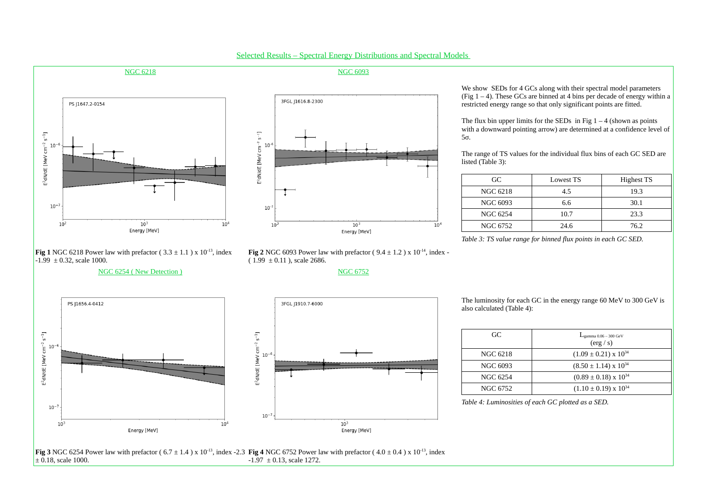

Selected Results – Spectral Energy Distributions and Spectral Models



We show SEDs for 4 GCs along with their spectral model parameters (Fig  $1 - 4$ ). These GCs are binned at 4 bins per decade of energy within a restricted energy range so that only significant points are fitted.

The flux bin upper limits for the SEDs in Fig  $1 - 4$  (shown as points with a downward pointing arrow) are determined at a confidence level of

5σ.

The range of TS values for the individual flux bins of each GC SED are

listed (Table 3):

| GC.             | Lowest TS | <b>Highest TS</b> |
|-----------------|-----------|-------------------|
| <b>NGC 6218</b> | 4.5       | 19.3              |
| <b>NGC 6093</b> | 6.6       | 30.1              |
| <b>NGC 6254</b> | 10.7      | 23.3              |
| <b>NGC 6752</b> | 24.6      | 76.2              |

*Table 3: TS value range for binned flux points in each GC SED.*

**Fig 1** NGC 6218 Power law with prefactor ( $3.3 \pm 1.1$ ) x  $10^{-13}$ , index  $-1.99 \pm 0.32$ , scale 1000.

## NGC 6254 (New Detection ) NGC 6752

The luminosity for each GC in the energy range 60 MeV to 300 GeV is

also calculated (Table 4):

| GC.             | $L_{\text{gamma 0.06} - 300 \text{ GeV}}$<br>(erg/s) |
|-----------------|------------------------------------------------------|
| <b>NGC 6218</b> | $(1.09 \pm 0.21) \times 10^{34}$                     |
| <b>NGC 6093</b> | $(8.50 \pm 1.14) \times 10^{34}$                     |
| <b>NGC 6254</b> | $(0.89 \pm 0.18) \times 10^{34}$                     |
| <b>NGC 6752</b> | $(1.10 \pm 0.19) \times 10^{34}$                     |

*Table 4: Luminosities of each GC plotted as a SED.*